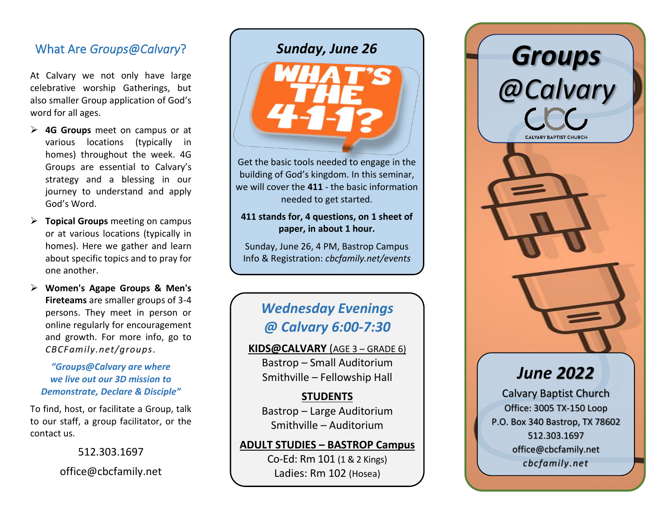# What Are *Groups@Calvary* ?

At Calvary we not only have large celebrative worship Gatherings, but also smaller Group application of God's word for all ages.

- ➢ **4G Groups** meet on campus or at various locations (typically in homes) throughout the week . 4G Groups are essential to Calvary's strategy and a blessing in our journey to understand and apply God's Word.
- ➢ **Topical Groups** meeting on campus or at various locations (typically in homes) . Here we gather and learn about specific topics and to pray for one another .
- ➢ **Women's Agape Groups & Men's Fireteams** are smaller groups of 3 -4 persons . They meet in person or online regularly for encouragement and growth. For more info, go to *CBCFamily.net/groups .*

#### *"Groups@Calvary are where we live out our 3D mission to Demonstrate, Declare & Disciple "*

To find, host, or facilitate a Group, talk to our staff, a group facilitator, or the contact us.

> 512.303.1697 office@cbcfamily.net

# *Sunday, June 26*



Get the basic tools needed to engage in the building of God's kingdom. In this seminar, we will cover the **411** - the basic information needed to get started.

#### **411 stands for, 4 questions, on 1 sheet of paper, in about 1 hour.**

Sunday, June 26, 4 PM , Bastrop Campus Info & Registration: *cbcfamily.net/events*

# *Wednesday Evenings @ Calvary 6:00-7:30*

**KIDS@CALVARY** (AGE 3 – GRADE 6) Bastrop – Small Auditorium Smithville – Fellowship Hall

## **STUDENTS**

Bastrop – Large Auditorium Smithville – Auditorium

## **ADULT STUDIES – BASTROP Campus**

Co -Ed: Rm 101 (1 & 2 Kings ) Ladies: Rm 102 (Hosea )



Calvary Baptist Church Office: 3005 TX -150 Loop P.O. Box 340 Bastrop, TX 78602 512.303.1697 office@cbcfamily.net *cbcfamily.net*